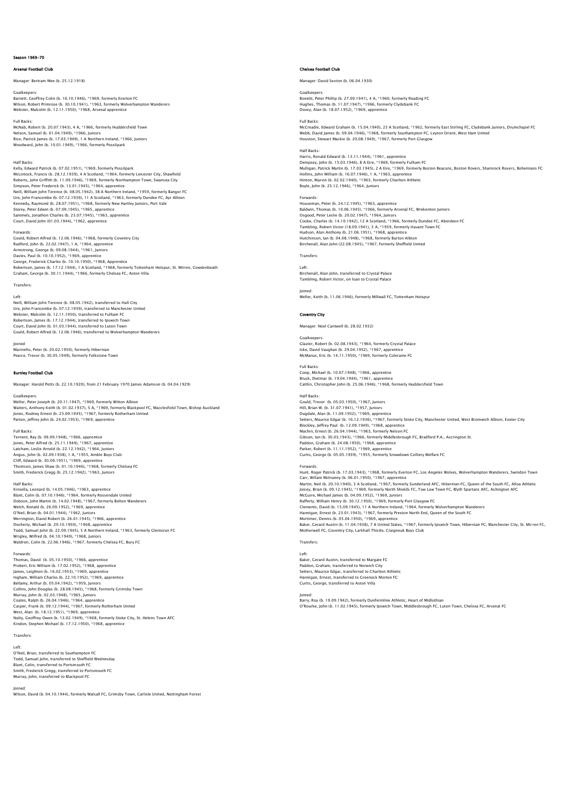# Season 1969-70

# Arsenal Football Club

Manager: Bertram Mee (b. 25.12.1918)

Goalkeepers:<br>Barnett, Geoffrey Colin (b. 16.10.1946), \*1969, formerly Everton FC<br>Wilson, Robert Primrose (b. 30.10.1941), \*1963, formerly Wolverhampton Wanderers<br>Webster, Malcolm (b. 12.11.1950), \*1968, Arsenal apprentice

Full Backs: McNab, Robert (b. 20.07.1943), 4 A, \*1966, formerly Huddersfield Town Nelson, Samuel (b. 01.04.1949), \*1966, Juniors Rice, Patrick James (b. 17.03.1949), 1 A Northern Ireland, \*1966, Juniors Woodward, John (b. 10.01.1949), \*1966, formerly Possilpark

Half Backs:<br>Half Backs:<br>Kelly, Edward Patrick (b. 07.02.1951), \*1969, formerly Possilpark<br>McLintock, Francis (b. 28.12.1939), 4 A Scotland, \*1964, formerly Leicester City, Shawfield<br>Roberts, John Griffflit (b. 11.09.1946), Court, David John (01.03.1944), \*1962, apprentice

Forwards:<br>Gould, Robert Alfred (b. 12.06.1946), \*1968, formerly Coventry City Gould, Robert Alfred (b. 12.06.1946), \*1968, formerly Coventry City<br>Radford, John (b. 22.02.1947), 1 A, \*1964, apprentice<br>Armstrong, George (b. 09.08.1944), \*1961, Juniors<br>Davis, Paul (b. 10.10.1952), \*1969, apprentice<br>Geo

Transfers:

Left: Neill, William John Terence (b. 08.05.1942), transferred to Hull City Ure, John Francombe (b. 07.12.1939), transferred to Manchester United<br>Webster, Malcolm (b. 12.11.1950), transferred to Fulham FC<br>Robertson, James (b. 17.12.1944), transferred to Ipswich Town<br>Court, David John (b. 01.03.194 Gould, Robert Alfred (b. 12.06.1946), transferred to Wolverhampton Wanderers

Joined: Marinello, Peter (b. 20.02.1950), formerly Hibernian Pearce, Trevor (b. 30.05.1949), formerly Folkstone Town

# Burnley Football Club

Manager: Harold Potts (b. 22.10.1920), from 21 February 1970 James Adamson (b. 04.04.1929)

Mellor, Peter Joseph (b. 20.11.1947), \*1969, formerly Witton Albion<br>Waiters, Anthony Keith (b. 01.02.1937), 5 A, \*1969, formerly Blackpool FC, Macclesfield Town, Bishop Auckland<br>Jones, Rodney Ernest (b. 23.09.1945), \*1967,

# Full Backs:

Goalkeepers:

Ternent, Ray (b. 09.09.1948), \*1966, apprentice<br>Jones, Peter Alfred (b. 25.11.1949), \*1967, apprentice<br>Latcham, Leslie Arnold (b. 22.12.1942), \*1964, Juniors<br>Angus, John (b. 02.09.1938), 1 A, \*1955, Amble Boys Club Cliff, Edward (b. 30.09.1951), \*1969, apprentice Thomson, James Shaw (b. 01.10.1946), \*1968, formerly Chelsea FC Smith, Frederick Gregg (b. 25.12.1942), \*1963, Juniors

Half Backs:

Kinsella, Leonard (b. 14.05.1946), \*1963, apprentice Blant, Colin (b. 07.10.1946), \*1964, formerly Rossendale United<br>Dobson, John Martin (b. 14.02.1948), \*1967, formerly Bolton Wanderers<br>Welch, Ronald (b. 26.09.1952), \*1969, apprentice<br>O'Neil, Brian (b. 04.01.1944), \*1962, J Merrington, David Robert (b. 26.01.1945), \*1966, apprentice Docherty, Michael (b. 29.10.1950), \*1968, apprentice<br>Todd, Samuel John (b. 22.09.1945), 5 A Northern Ireland, \*1963, formerly Glentoran FC<br>Wrigley, Wilfred (b. 04.10.1949), \*1968, Juniors<br>Waldron, Colin (b. 22.06.1946), \*1

Forwards:<br>Thomas, David (b. 05.10.1950), \*1966, apprentice<br>Probert, Eric William (b. 17.02.1952), \*1968, apprentice<br>James, Leighton (b. 16.02.1953), \*1969, apprentice<br>Ingham, William Charles (b. 22.10.1952), \*1969, appren Bellamy, Arthur (b. 05.04.1942), +1959, Juniors<br>Collins, John Douglas (b. 28.08.1945), \*1968, formerly Grimsby Town<br>Murray, John (b. 02.03.1948), \*1965, Juniors<br>Casper, Frank (b. 09.12.1944), \*1964, formerly Rotherham Unit West, Alan (b. 18.12.1951), \*1969, apprentice<br>Nulty, Geoffrey Owen (b. 13.02.1949), \*1968, formerly Stoke City, St. Helens Town AFC<br>Kindon, Stephen Michael (b. 17.12.1950), \*1968, apprentice

Transfers:

Left: O'Neil, Brian, transferred to Southampton FC Todd, Samuel John, transferred to Sheffield Wednesday Blant, Colin, transferred to Portsmouth FC Smith, Frederick Gregg, transferred to Portsmouth FC<br>Murray, John, transferred to Riacknool FC Murray, John, transfe

### Joined:

Wilson, David (b. 04.10.1944), formerly Walsall FC, Grimsby Town, Carlisle United, Nottingham Forest

# Chelsea Football Club

Manager: David Sexton (b. 06.04.1930)

Goalkeepers: Bonetti, Peter Phillip (b. 27.09.1941), 4 A, \*1960, formerly Reading FC Hughes, Thomas (b. 11.07.1947), \*1966, formerly Clydebank FC Dovey, Alan (b. 18.07.1952), \*1969, apprentice

### Full Backs

McCreadie, Edward Graham (b. 15.04.1940), 23 A Scotland, \*1962, formerly East Stirling FC, Clydebank Juniors, Drumchapel FC<br>Webb, David James (b. 09.04.1946), \*1968, formerly Southampton FC, Leyton Orient, West Ham United<br>

Half Backs:<br>Harris, Ronald Edward (b. 13.11.1944), \*1961, apprentice<br>Dempsey, John (b. 15.03.1946), 8 A Eire, \*1969, formerly Fulham FC<br>Mulligan, Patrick Martin (b. 17.03.1945), 2 A Eire, \*1969, formerly Boston Beacons, Bo Boyle, John (b. 25.12.1946), \*1964, Juniors

Forwards: Houseman, Peter (b. 24.12.1945), \*1963, apprentice Baldwin, Thomas (b. 10.06.1945), \*1966, formerly Arsenal FC, Wrekenton Juniors<br>Osgood, Peter Leslie (b. 20.02.1947), \*1964, Juniors<br>Cooke, Charles (b. 14.10.1942), 12 A Scotland, \*1966, formerly Dundee FC, Aberdeen FC<br>Tamb Hudson, Alan Anthony (b. 21.06.1951), \*1968, apprentice Hutchinson, Ian (b. 04.08.1948), \*1968, formerly Burton Albion Birchenall, Alan John (22.08.1945), \*1967, formerly Sheffield United

 $\frac{1}{2}$ 

Left: Birchenall, Alan John, transferred to Crystal Palace Tambling, Robert Victor, on loan to Crystal Palace

Joined: Weller, Keith (b. 11.06.1946), formerly Millwall FC, Tottenham Hotspur

### Coventry City

Manager: Noel Cantwell (b. 28.02.1932)

Goalkeepers: Glazier, Robert (b. 02.08.1943), \*1964, formerly Crystal Palace Icke, David Vaughan (b. 29.04.1952), \*1967, apprentice McManus, Eric (b. 14.11.1950), \*1969, formerly Coleraine FC

Full Backs: Coop, Michael (b. 10.07.1948), \*1966, apprentice Bruck, Dietmar (b. 19.04.1944), \*1961, apprentice Cattlin, Christopher John (b. 25.06.1946), \*1968, formerly Huddersfield Town

Half Backs: Gould, Trevor (b. 05.03.1950), \*1967, Juniors Hill, Brian W. (b. 31.07.1941), \*1957, Juniors Dugdale, Alan (b. 11.09.1952), \*1969, apprentice Setters, Maurice Edgar (b. 16.12.1936), \*1967, formerly Stoke City, Manchester United, West Bromwich Albion, Exeter City Blockley, Jeffrey Paul (b. 12.09.1949), \*1968, apprentice<br>Machin, Ernest (b. 26.04.1944), \*1963, formerly Nelson FC<br>Gibson, Ian (b. 30.03.1943), \*1966, formerly Middlesbrough FC, Bradford P.A., Accrington St.<br>Paddon, Graha

Forwards:<br>Hunt, Roger Patrick (b. 17.03.1943), \*1968, formerly Everton FC, Los Angeles Wolves, Wolverhampton Wanderers, Swindon Towr<br>Carr, Willam McInanny (b. 06.01.1950), \*1967, apprentice<br>Martin, Neil (b. 20.10.1940), 3 Joicey, Brian (b. 09.12.1945), \*1969, formerly North Shields FC, Tow Law Town FC, Blyth Spartans AFC, Ashington AFC<br>McCuire, Michael James (b. 04.09.1952), \*1969, Juniors<br>Rafferty, William Henry (b. 30.12.1950), \*1969, for Baker, Gerard Austin (b. 11.04.1938), 7 A United States, \*1967, formerly Ipswich Town, Hibernian FC, Manchester City, St. Mirren FC,<br>Motherwell FC, Coventry City, Larkhall Thistle, Craigneuk Boys Club Transfers:

Left: Baker, Gerard Austin, transferred to Margate FC Paddon, Graham, transferred to Norwich City Setters, Maurice Edgar, transferred to Charlton Athletic Hannigan, Ernest, transferred to Greenock Morton FC Curtis, George, transferred to Aston Villa

Joined:<br>Barry, Roy (b. 19.09.1942), formerly Dunfermline Athletic, Heart of Midlothian<br>O'Rourke, John (b. 11.02.1945), formerly Ipswich Town, Middlesbrough FC, Luton Town, Chelsea FC, Arsenal FC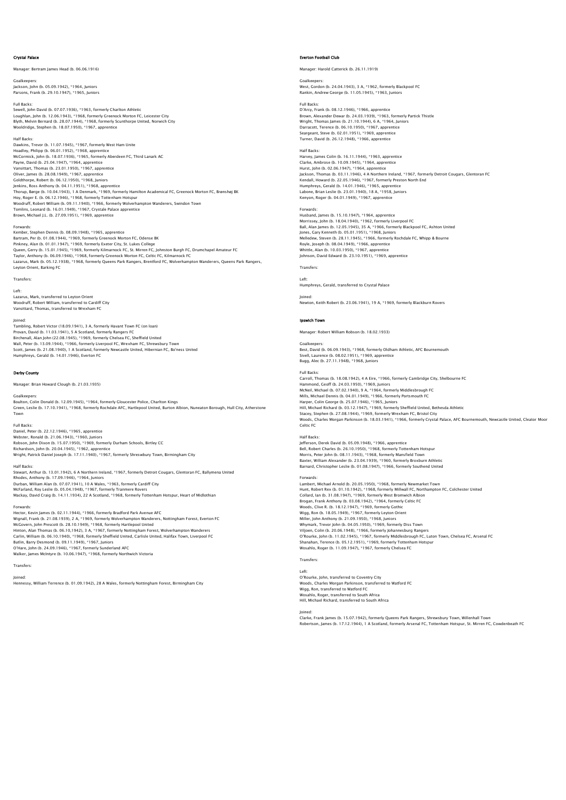### Crystal Palace

Manager: Bertram James Head (b. 06.06.1916)

Goalkeepers: Jackson, John (b. 05.09.1942), \*1964, Juniors Parsons, Frank (b. 29.10.1947), \*1965, Juniors

Full Backs: Sewell, John David (b. 07.07.1936), \*1963, formerly Charlton Athletic Loughlan, John (b. 12.06.1943), \*1968, formerly Greenock Morton FC, Leicester City<br>Blyth, Melvin Bernard (b. 28.07.1944), \*1968, formerly Scunthorpe United, Norwich City<br>Wooldridge, Stephen (b. 18.07.1950), \*1967, apprenti

# Half Backs:

Dawkins, Trevor (b. 11.07.1945), \*1967, formerly West Ham Unite Hoadley, Philipp (b. 06.01.1952), \*1968, apprentice<br>McCormick, John (b. 18.07.1936), \*1965, formerly Aberdeen FC, Third Lanark AC<br>Payne, David (b. 25.04.1947), \*1964, apprentice Vansittart, Thomas (b. 23.01.1950), \*1967, apprentice Oliver, James (b. 28.08.1949), \*1967, apprentice Goldthorpe, Robert (b. 06.12.1950), \*1968, Juniors Jenkins, Ross Anthony (b. 04.11.1951), \*1968, apprentice<br>Thorup, Børge (b. 10.04.1943), 1 A Denmark, \*1969, formerly Hamilton Academical FC, Greenock Morton FC, Brønshøj BK<br>Hoy, Roger E. (b. 06.12.1946), \*1968, formerly To Woodruff, Robert William (b. 09.11.1940), \*1966, formerly Wolverhampton Wanderers, Swindon Town Tomlins, Leonard (b. 16.01.1949), \*1967, Crystale Palace apprentice Brown, Michael J.L. (b. 27.09.1951), \*1969, apprentice

# Forwards:

Kember, Stephen Dennis (b. 08.09.1948), \*1965, apprentice Bartram, Per (b. 01.08.1944), \*1969, formerly Greenock Morton FC, Odense BK<br>Pinkney, Alan (b. 01.01.1947), \*1969, formerly Exeter City, St. Lukes College<br>Taylor, Anthony (b. 06.09.1946), \*1969, formerly Kilmarnock Morton F Leyton Orient, Barking FC

### Transfers:

Left:

Lazarus, Mark, transferred to Leyton Orient Woodruff, Robert William, transferred to Cardiff City Vansittard, Thomas, transferred to Wrexham FC

Joined: Tambling, Robert Victor (18.09.1941), 3 A, formerly Havant Town FC (on loan) Provan, David (b. 11.03.1941), 5 A Scotland, formerly Rangers FC Birchenall, Alan John (22.08.1945), \*1969, formerly Chelsea FC, Sheffield United<br>Wall, Peter (b. 13.09.1944), \*1966, formerly Liverpool FC, Wrexham FC, Shrewsbury Town<br>Scott, James (b. 21.08.1940), 1 A Scotland, formerly N

# Derby County

Manager: Brian Howard Clough (b. 21.03.1935)

Goalkeepers:<br>Boulton, Colin Donald (b. 12.09.1945), \*1964, formerly Gloucester Police, Charlton Kings<br>Green, Leslie (b. 17.10.1941), \*1968, formerly Rochdale AFC, Hartlepool United, Burton Albion, Nuneaton Borough, Hull Ci

Full Backs:<br>Daniel, Peter (b. 22.1.2.1946), \*1965, apprentice<br>Webster, Ronald (b. 21.06.1943), \*1960, Juniors<br>Robson, John Dixon (b. 15.07.1950), \*1969, formerly Durham Schools, Birtley CC<br>Richardson, John (b. 20.04.1945),

Half Backs:<br>Stewart, Arthur (b. 13.01.1942), 6 A Northern Ireland, \*1967, formerly Detroit Cougars, Glentoran FC, Ballymena United<br>Rhodes, Anthony (b. 17.09.1946), \*1964, Juniors<br>Durban, William Alan (b. 07.07.1941), 10 A McFarland, Roy Leslie (b. 05.04.1948), \*1967, formerly Tranmere Rovers Mackay, David Craig (b. 14.11.1934), 22 A Scotland, \*1968, formerly Tottenham Hotspur, Heart of Midlothian

Forwards: Hector, Kevin James (b. 02.11.1944), \*1966, formerly Bradford Park Avenue AFC Wignall, Frank (b. 21.08.1939), 2 A, \*1969, formerly Wolverhampton Wanderers, Nottingham Forest, Everton FC<br>McCovern, John Prescott (b. 28.10.1949), \*1968, formerly Hartlepool United<br>Hinton, Alan Thomas (b. 06.10.1942), 3 Walker, James McIntyre (b. 10.06.1947), \*1968, formerly Northwich Victoria

# Transfers: Joined:

Hennessy, William Terrence (b. 01.09.1942), 28 A Wales, formerly Nottingham Forest, Birmingham City

### Everton Football Club

Manager: Harold Catterick (b. 26.11.1919)

Goalkeepers: West, Gordon (b. 24.04.1943), 3 A, \*1962, formerly Blackpool FC Rankin, Andrew George (b. 11.05.1945), \*1963, Jun

## Full Back

D'Arcy, Frank (b. 08.12.1946), \*1966, apprentice Brown, Alexander Dewar (b. 24.03.1939), \*1963, formerly Partick Thistle Wright, Thomas James (b. 21.10.1944), 6 A, \*1964, Juniors Darracott, Terence (b. 06.10.1950), \*1967, apprentice Seargeant, Steve (b. 02.01.1951), \*1969, apprentice Turner, David (b. 26.12.1948), \*1966, apprentice

# Half Backs:

Harvey, James Colin (b. 16.11.1944), \*1963, apprentice Clarke, Ambrose (b. 10.09.1945), \*1964, apprentice Hurst, John (b. 02.06.1947), \*1964, apprentice Jackson, Thomas (b. 03.11.1946), 4 A Northern Ireland, \*1967, formerly Detroit Cougars, Glentoran FC Kendall, Howard (b. 22.05.1946), \*1967, formerly Preston North End Humphreys, Gerald (b. 14.01.1946), \*1965, apprentice Labone, Brian Leslie (b. 23.01.1940), 18 A, \*1958, Juniors Kenyon, Roger (b. 04.01.1949), \*1967, apprentice

Forwards: Husband, James (b. 15.10.1947), \*1964, apprentice Morrissey, John (b. 18.04.1940), \*1962, formerly Liverpool FC Ball, Alan James (b. 12.05.1945), 35 A, \*1966, formerly Blackpool FC, Ashton United Jones, Gary Kenneth (b. 05.01.1951), \*1968, Juniors Melledew, Steven (b. 28.11.1945), \*1966, formerly Rochdale FC, Whipp & Bourne Royle, Joseph (b. 08.04.1949), \*1966, apprentice Whittle, Alan (b. 10.03.1950), \*1967, apprentice Johnson, David Edward (b. 23.10.1951), \*1969, apprentice

Transfers:

Left: Humphreys, Gerald, transferred to Crystal Palace

Joined:

Newton, Keith Robert (b. 23.06.1941), 19 A, \*1969, formerly Blackburn Rovers

## Ipswich Town

Manager: Robert William Robson (b. 18.02.1933)

Goalkeepers: Best, David (b. 06.09.1943), \*1968, formerly Oldham Athletic, AFC Bournemouth Sivell, Laurence (b. 08.02.1951), \*1969, apprentice Bugg, Alec (b. 27.11.1948), \*1968, Juniors

## Full Backs:

Carroll, Thomas (b. 18.08.1942), 4 A Eire, \*1966, formerly Cambridge City, Shelbourne FC Hammond, Geoff (b. 24.03.1950), \*1969, Juniors McNeil, Michael (b. 07.02.1940), 9 A, \*1964, formerly Middlesbrough FC Mills, Michael Dennis (b. 04.01.1949), \*1966, formerly Portsmouth FC Harper, Colin George (b. 25.07.1946), \*1965, Juniors<br>Hill, Michael Richard (b. 03.12.1947), \*1969, formerly Sheffield United, Bethesda Athletic<br>Stacey, Stephen (b. 27.08.1944), \*1969, formerly Wrexham FC, Bristol City<br>Wood Celtic FC

Half Backs:<br>Jefferson, Derek David (b. 05.09.1948), \*1966, apprentice<br>Bell, Robert Charles (b. 26.10.1950), \*1968, formerly Mansfield Town<br>Morris, Peter John (b. 08.11.1943), \*1968, formerly Mansfield Town Baxter, William Alexander (b. 23.04.1939), \*1960, formerly Broxburn Athletic Barnard, Christopher Leslie (b. 01.08.1947), \*1966, formerly Southend United

## Forwards:

Lambert, Michael Arnold (b. 20.05.1950), \*1968, formerly Newmarket Town Hunt, Robert Rex (b. 01.10.1942), \*1968, formerly Millwall FC, Northampton FC, Colchester United Collard, lan (b. 31.08.1947), \*1969, formerly West Bromwich Albion<br>Brogan, Frank Anthony (b. 03.08.1942), \*1964, formerly Celtic FC<br>Woods, Clive R. (b. 18.12.1947), \*1969, formerly Gothic<br>Wige, Ron (b. 18.05.1949), \*1967, Whymark, Trevor John (b. 04.05.1950), \*1969, formerly Diss Town<br>Viljoen, Colin (b. 20.06.1948), \*1966, formerly Johannesburg Rangers<br>O'Rourke, John (b. 11.02.1945), \*1967, formerly Middlesbrough FC, Luton Town, Chelsea FC,

# Transfers:

Left: O'Rourke, John, transferred to Coventry City Woods, Charles Morgan Parkinson, transferred to Watford FC<br>Wigg, Ron, transferred to Watford FC<br>Wosahlo, Roger, transferred to South Africa<br>Hill, Michael Richard, transferred to South Africa

Joined:<br>Clarke, Frank James (b. 15.07.1942), formerly Queens Park Rangers, Shrewsbury Town, Willenhall Town<br>Robertson, James (b. 17.12.1944), 1 A Scotland, formerly Arsenal FC, Tottenham Hotspur, St. Mirren FC, Cowdenbeath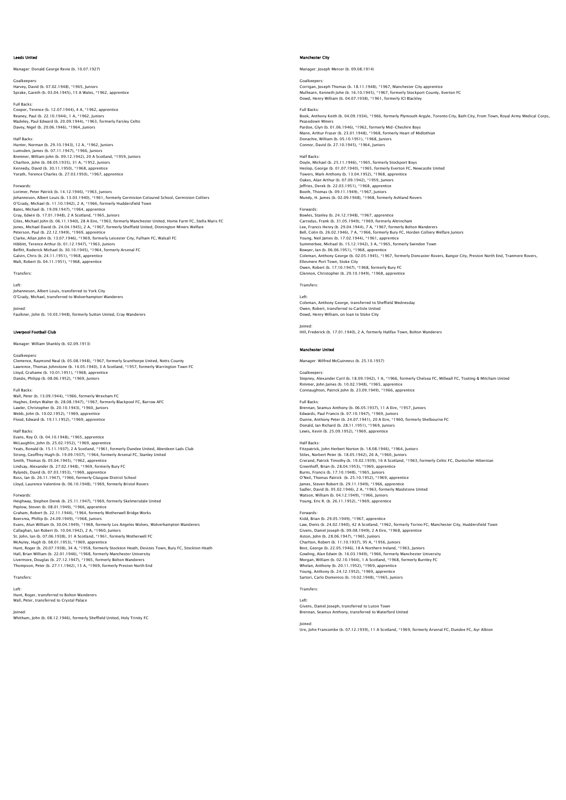### Leeds United

Manager: Donald George Revie (b. 10.07.1927)

Goalkeepers: Harvey, David (b. 07.02.1948), \*1965, Juniors Sprake, Gareth (b. 03.04.1945), 15 A Wales, \*1962, apprentice

Full Backs: Cooper, Terence (b. 12.07.1944), 4 A, \*1962, apprentice Reaney, Paul (b. 22.10.1944), 1 A, \*1962, Juniors Madeley, Paul Edward (b. 20.09.1944), \*1963, formerly Farsley Celtic Davey, Nigel (b. 20.06.1946), \*1964, Juniors

Half Backs: Hunter, Norman (b. 29.10.1943), 12 A, \*1962, Juniors Lumsden, James (b. 07.11.1947), \*1966, Juniors Bremner, William John (b. 09.12.1942), 20 A Scotland, \*1959, Juniors Charlton, John (b. 08.05.1935), 31 A, \*1952, Juniors Kennedy, David (b. 30.11.1950), \*1968, apprentice Yorath, Terence Charles (b. 27.03.1950), \*1967, apprentice

Forwards:<br>Lorimer, Peter Patrick (b. 14.12.1946), \*1963, Juniors<br>Johanneson, Albert Louis (b. 13.03.1940), \*1961, formerly Germiston Coloured School, Germiston Colliers<br>O'Grady, Michael (b. 11.10.1942), 2 A, \*1966, formerl Bates, Michael (b. 19.09.1947), \*1964, apprentice Gray, Edwin (b. 17.01.1948), 2 A Scotland, \*1965, Juniors Giles, Michael John (b. 06.11.1940), 28 A Eire, \*1963, formerly Manchester United, Home Farm FC, Stella Maris FC Jones, Michael David (b. 24.04.1945), 2 A, \*1967, formerly Sheffield United, Dinnington Miners Welfare Peterson, Paul (b. 22.12.1949), \*1969, apprentice Clarke, Allan John (b. 13.07.1946), \*1969, formerly Leicester City, Fulham FC, Walsall FC Hibbitt, Terence Arthur (b. 01.12.1947), \*1963, Juniors Belfitt, Roderick Michael (b. 30.10.1945), \*1964, formerly Arsenal FC Galvin, Chris (b. 24.11.1951), \*1968, apprentice Malt, Robert (b. 04.11.1951), \*1968, apprentice

Transfers:

Left:

Johanneson, Albert Louis, transferred to York City O'Grady, Michael, transferred to Wolverhampton Wanderers

Joined: Faulkner, John (b. 10.03.1948), formerly Sutton United, Cray Wanderers

### Liverpool Football Club

Manager: William Shankly (b. 02.09.1913)

### Goalkeepers:

Clemence, Raymond Neal (b. 05.08.1948), \*1967, formerly Scunthorpe United, Notts County Lawrence, Thomas Johnstone (b. 14.05.1940), 3 A Scotland, \*1957, formerly Warrington Town FC<br>Lloyd, Grahame (b. 10.01.1951), \*1968, apprentice<br>Dando, Philipp (b. 08.06.1952), \*1969, Juniors

## Full Backs:

Wall, Peter (b. 13.09.1944), \*1966, formerly Wrexham FC Hughes, Emlyn Walter (b. 28.08.1947), \*1967, formerly Blackpool FC, Barrow AFC<br>Lawler, Christopher (b. 20.10.1943), \*1960, Juniors<br>Webb, John (b. 10.02.1952), \*1969, apprentice<br>Flood, Edward (b. 19.11.1952), \*1969, apprent

Half Backs:<br>Evans, Roy O. (b. 04.10.1948), \*1965, apprentice<br>McLaughlin, John (b. 25.02.1952), \*1969, apprentice<br>Yeats, Ronald (b. 15.11.1937), 2 A Scotland, \*1961, formerly Dundee United, Aberdeen Lads Club<br>Stronq, Geoffr Smith, Thomas (b. 05.04.1945), \*1962, apprentice<br>Lindsay, Alexander (b. 27.02.1948), \*1969, formerly Bury FC<br>Rylands, David (b. 07.03.1953), \*1969, apprentice<br>Ross, lan (b. 26.11.1947), \*1966, formerly Clasgow District Sch

Forwards:<br>Heighway, Stephen Derek (b. 25.11.1947), \*1969, formerly Skelmersdale United<br>Peplow, Steven (b. 08.01.1949), \*1966, apprentice<br>Graham, Robert (b. 22.11.1944), \*1964, formerly Motherwell Bridge Works<br>Boersma, Phil Evans, Alun William (b. 30.04.1949), \*1968, formerly Los Angeles Wolves, Wolverhampton Wanderers<br>Callaghan, Ian Robert (b. 10.04.1942), 2 A, \*1960, Juniors<br>St. John, Ian (b. 07.06.1938), 31 A Scotland, \*1961, formerly Moth Hall, Brian William (b. 22.01.1946), \*1968, formerly Manchester University<br>Livermore, Douglas (b. 27.12.1947), \*1965, formerly Bolton Wanderers<br>Thompson, Peter (b. 27.11.1942), 15 A, \*1969, formerly Preston North End

Transfers:

Left: Hunt, Roger, transferred to Bolton Wanderers Wall, Peter, transferred to Crystal Palace

Joined: Whitham, John (b. 08.12.1946), formerly Sheffield United, Holy Trinity FC

# Manchester City

Manager: Joseph Mercer (b. 09.08.1914)

Goalkeepers: Corrigan, Joseph Thomas (b. 18.11.1948), \*1967, Manchester City apprentice Mulhearn, Kenneth John (b. 16.10.1945), \*1967, formerly Stockport County, Everton FC Dowd, Henry William (b. 04.07.1938), \*1961, formerly ICI Blackley

### Full Backs:

Book, Anthony Keith (b. 04.09.1934), \*1966, formerly Plymouth Argyle, Toronto City, Bath City, From Town, Royal Army Medical Corps, Peasedown Miners Pardoe, Glyn (b. 01.06.1946), \*1962, formerly Mid-Cheshire Boys<br>Mann, Arthur Fraser (b. 23.01.1948), \*1968, formerly Heart of Midlothian<br>Donachie, William (b. 05.10.1951), \*1968, Juniors<br>Connor, David (b. 27.10.1945), \*196

### Half Backs:

Doyle, Michael (b. 25.11.1946), \*1965, formerly Stockport Boys Heslop, George (b. 01.07.1940), \*1965, formerly Everton FC, Newcastle United Towers, Mark Anthony (b. 13.04.1952), \*1968, apprentice Oakes, Alan Arthur (b. 07.09.1942), \*1959, Juniors Jeffries, Derek (b. 22.03.1951), \*1968, apprentice Booth, Thomas (b. 09.11.1949), \*1967, Juniors Mundy, H. James (b. 02.09.1948), \*1968, formerly Ashland Rovers

Forwards:

Bowles, Stanley (b. 24.12.1948), \*1967, apprentice Carrodus, Frank (b. 31.05.1949), \*1969, formerly Altrincham Lee, Francis Henry (b. 29.04.1944), 7 A, \*1967, formerly Bolton Wanderers Bell, Colin (b. 26.02.1946), 7 A, \*1966, formerly Bury FC, Horden Colliery Welfare Juniors Young, Neil James (b. 17.02.1944), \*1961, apprentice Summerbee, Michael (b. 15.12.1942), 3 A, \*1965, formerly Swindon Town Bowyer, Ian (b. 06.06.1951), \*1968, apprentice Coleman, Anthony George (b. 02.05.1945), \*1967, formerly Doncaster Rovers, Bangor City, Preston North End, Tranmere Rovers, Ellesmere Port Town, Stoke City Owen, Robert (b. 17.10.1947), \*1968, formerly Bury FC Glennon, Christopher (b. 29.10.1949), \*1968, apprentice

# Transfers:

Left: Coleman, Anthony George, transferred to Sheffield Wednesday Owen, Robert, transferred to Carlisle United Dowd, Henry William, on loan to Stoke City

Joined: Hill, Frederick (b. 17.01.1940), 2 A, formerly Halifax Town, Bolton Wanderers

# Manchester United

Manager: Wilfred McGuinness (b. 25.10.1937)

### Goalk

Stepney, Alexander Cyril (b. 18.09.1942), 1 A, \*1966, formerly Chelsea FC, Millwall FC, Tooting & Mitcham United Rimmer, John James (b. 10.02.1948), \*1965, apprentice Connaughton, Patrick John (b. 23.09.1949), \*1966, apprentice

### Full Backs:

Brennan, Seamus Anthony (b. 06.05.1937), 11 A Eire, \*1957, Juniors<br>Edwards, Paul Francis (b. 07.10.1947), \*1969, Juniors<br>Dunne, Anthony Peter (b. 24.07.1941), 20 A Eire, \*1960, formerly Shelbourne FC Donald, Ian Richard (b. 28.11.1951), \*1969, Junior Lewis, Kevin (b. 25.09.1952), \*1969, appren

# Half Backs:

Fitzpatrick, John Herbert Norton (b. 18.08.1946), \*1964, Juniors Stiles, Norbert Peter (b. 18.05.1942), 26 A, \*1960, Juniors Crerand, Patrick Timothy (b. 19.02.1939), 16 A Scotland, \*1963, formerly Celtic FC, Duntocher Hibernian<br>Greenhoff, Brian (b. 28.04.1953), \*1969, apprentice<br>Burns, Francis (b. 17.10.1948), \*1965, Juniors<br>O'Neil, Thomas Patr James, Steven Robert (b. 29.11.1949), \*1966, apprentice Sadler, David (b. 05.02.1946), 2 A, \*1963, formerly Maidstone United Watson, William (b. 04.12.1949), \*1966, Juniors Young, Eric R. (b. 26.11.1952), \*1969, apprentice

Forwards:<br>Kidd. Brian (b. 29.05.1949). \*1967. apprentice Kidd, Brian (b. 29.05.1949), \*1967, apprentice<br>Law, Denis (b. 24.02.1940), 42 A Scotland, \*1962, formerly Torino FC, Manchester City, Huddersfield Town<br>Givens, Daniel Joseph (b. 09.08.1949), 2 A Eire, \*1968, apprentice<br>Ast Gowling, Alan Edwin (b. 16.03.1949), \*1966, formerly Manchester University<br>Morgan, William (b. 02.10.1944), 1 A Scotland, \*1968, formerly Burnley FC<br>Whelan, Anthony (b. 20.11.1952), \*1969, apprentice<br>Young, Anthony (b. 24.

# Transfers:

Left: Givens, Daniel Joseph, transferred to Luton Town Brennan, Seamus Anthony, transferred to Waterford United

Joined: Ure, John Francombe (b. 07.12.1939), 11 A Scotland, \*1969, formerly Arsenal FC, Dundee FC, Ayr Albion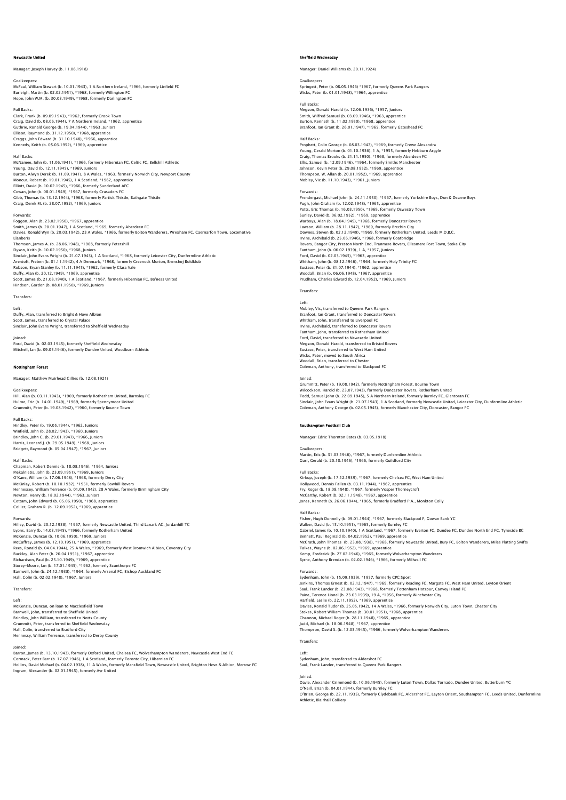### Newcastle United

## Manager: Joseph Harvey (b. 11.06.1918)

Goalkeepers:

McFaul, William Stewart (b. 10.01.1943), 1 A Northern Ireland, \*1966, formerly Linfield FC Burleigh, Martin (b. 02.02.1951), \*1968, formerly Willington FC Hope, John W.M. (b. 30.03.1949), \*1968, formerly Darlington FC

Full Backs:

Clark, Frank (b. 09.09.1943), † 1962, formerly Crook Town<br>Craig, David (b. 08.06.1944), 7 A Northern Ireland, \*1962, apprentice<br>Guthrie, Ronald George (b. 19.04.1944), \*1963, Juniors<br>Ellison, Raymond (b. 31.12.1950), \*1968 Kennedy, Keith (b. 05.03.1952), \*1969, apprentice

Half Backs:<br>McNamee, John (b. 11.06.1941), \*1966, formerly Hibernian FC, Celtic FC, Bellshill Athletic<br>Young, David (b. 12.11.1945), \*1969, Juniors<br>Burton, Alwyn Derek (b. 11.09.1941), 8 A Wales, \*1963, formerly Norwich Ci Moncur, Robert (b. 19.01.1945), 1 A Scotland, \*1962, apprentice<br>Elliott, David (b. 10.02.1945), \*1966, formerly Sunderland AFC<br>Cowan, John (b. 08.01.1949), \*1967, formerly Crusaders FC<br>Gialg, Thomas (b. 13.12.1949), \*1969,

## Forwards:

Foggon, Alan (b. 23.02.1950), \*1967, apprentice<br>Smith, James (b. 20.0.1.1947), 1 A Scotland, \*1969, formerly Aberdeen FC<br>Davies, Ronald Wyn (b. 20.03.1942), 23 A Wales, \*1966, formerly Bolton Wanderers, Wrexham FC, Caernar Llanberis Thomson, James A. (b. 28.06.1948), \*1968, formerly Petershill Dyson, Keith (b. 10.02.1950), \*1968, Juniors<br>Sinclair, John Evans Wright (b. 21.07.1943), 1 A Scotland, \*1968, formerly Leicester City, Dunfermline Athletic<br>Arentoft, Preben (b. 01.11.1942), 4 A Denmark, \*1968, formerly Gr Duffy, Alan (b. 20.12.1949), \*1969, apprentice<br>Scott, James (b. 21.08.1940), 1 A Scotland, \*1967, formerly Hibernian FC, Bo'ness United<br>Hindson, Gordon (b. 08.01.1950), \*1969, Juniors

Transfers:

### Left:

Duffy, Alan, transferred to Bright & Hove Albion Scott, James, transferred to Crystal Palace Sinclair, John Evans Wright, transferred to Sheffield Wednesday

Joined: Ford, David (b. 02.03.1945), formerly Sheffield Wednesday Mitchell, Ian (b. 09.05.1946), formerly Dundee United, Woodburn Athletic

## Nottingham Forest

Manager: Matthew Muirhead Gillies (b. 12.08.1921)

Goalkeepers: Hill, Alan (b. 03.11.1943), \*1969, formerly Rotherham United, Barnsley FC Hulme, Eric (b. 14.01.1949), \*1969, formerly Spennymoor United Grummitt, Peter (b. 19.08.1942), \*1960, formerly Bourne Town

Full Backs: Hindley, Peter (b. 19.05.1944), \*1962, Juniors Winfield, John (b. 28.02.1943), \*1960, Juniors Brindley, John C. (b. 29.01.1947), \*1966, Juniors Harris, Leonard J. (b. 29.05.1949), \*1968, Juniors Bridgett, Raymond (b. 05.04.1947), \*1967, Juniors

Half Backs:

Chapman, Robert Dennis (b. 18.08.1946), \*1964, Juniors Piekalnietis, John (b. 23.09.1951), \*1969, Juniors O'Kane, William (b. 17.06.1948), \*1968, formerly Derry City McKinlay, Robert (b. 10.10.1932), \*1951, formerly Bowhill Rovers Hennessey, William Terrence (b. 01.09.1942), 28 A Wales, formerly Birmingham City Newton, Henry (b. 18.02.1944), \*1963, Juniors Cottam, John Edward (b. 05.06.1950), \*1968, apprentice Collier, Graham R. (b. 12.09.1952), \*1969, apprentice

Forwards:<br>Hilley, David (b. 20.12.1938), \*1967, formerly Newcastle United, Third Lanark AC, Jordanhill TC<br>Lyons, Barry (b. 14.03.1945), \*1966, formerly Rotherham United<br>McKenzie, Duncan (b. 10.06.1950), \*1969, Juniors<br>McCa Buckley, Alan Peter (b. 20.04.1951), \*1967, apprenice<br>Richardson, Paul (b. 25.10.1949), \*1969, apprenice<br>Storey-Moore, Ian (b. 17.01.1945), \*1962, formerly Scunthorpe FC<br>Barnwell, John (b. 24.12.1938), \*1966, funniors<br>Hall

Transfers:

Left: McKenzie, Duncan, on loan to Macclesfield Town Barnwell, John, transferred to Sheffield United Brindley, John William, transferred to Notts County<br>Grummitt, Peter, transferred to Sheffield Wednesday<br>Hall, Colin, transferred to Bradford City<br>Hennessy, William Terrence, transferred to Derby County

Joined:<br>Barron, James (b. 13.10.1943), formerly Oxford United, Chelsea FC, Wolverhampton Wanderers, Newcastle West End FC<br>Cormack, Peter Barr (b. 17.07.1946), 1 A Scotland, formerly Toronto City, Hibernian FC<br>Hollins, Davi

## Sheffield Wednesday

Manager: Daniel Williams (b. 20.11.1924)

Goalkeepers: Springett, Peter (b. 08.05.1946) \*1967, formerly Queens Park Rangers Wicks, Peter (b. 01.01.1948), \*1964, apprentice

Full Backs: Megson, Donald Harold (b. 12.06.1936), \*1957, Juniors Smith, Wilfred Samuel (b. 03.09.1946), \*1963, apprentice Burton, Kenneth (b. 11.02.1950), \*1968, appr Branfoot, Ian Grant (b. 26.01.1947), \*1965, formerly Gateshead FC

### Half Backs:

Prophett, Colin George (b. 08.03.1947), \*1969, formerly Crewe Alexandra Young, Gerald Morton (b. 01.10.1936), 1 A, \*1955, formerly Hebburn Argyle<br>Craig, Thomas Brooks (b. 21.11.1950), \*1968, formerly Aberdeen FC<br>Ellis, Samuel (b. 12.09.1946), \*1964, formerly Smiths Manchester Johnson, Kevin Peter (b. 29.08.1952), \*1969, apprentice Thompson, W. Allan (b. 20.01.1952), \*1969, apprentice Mobley, Vic (b. 11.10.1943), \*1961, Juniors

# Forwards:

rorwarus.<br>Prendergast, Michael John (b. 24.11.1950), \*1967, formerly Yorkshire Boys, Don & Dearne Boys Pugh, John Graham (b. 12.02.1948), \*1965, apprentice Potts, Eric Thomas (b. 16.03.1950), \*1969, formerly Oswestry Town Sunley, David (b. 06.02.1952), \*1969, apprentice<br>Warboys, Alan (b. 18.04.1949), \*1968, formerly Doncaster Rovers<br>Lawson, William (b. 28.11.1947), \*1969, formerly Brechin City<br>Downes, Steven (b. 02.12.1949), \*1969, formerly Irvine, Archibald (b. 25.06.1946), \*1968, formerly Coatbridge<br>Rovers, Bangor City, Preston North End, Tranmere Rovers, Ellesmere Port Town, Stoke City<br>Fantham, John (b. 06.02.1939), 1 A, \*1957, Juniors<br>Ford, David (b. 02.0 Eustace, Peter (b. 31.07.1944), \*1962, apprentice Woodall, Brian (b. 06.06.1948), \*1967, apprentice Prudham, Charles Edward (b. 12.04.1952), \*1969, Juniors

### **Transfer**

# Left: Mobley, Vic, transferred to Queens Park Rangers

Branfoot, Ian Grant, transferred to Doncaster Rovers Whitham, John, transferred to Liverpool FC Irvine, Archibald, transferred to Doncaster Rovers Fantham, John, transferred to Rotherham United Ford, David, transferred to Newcastle United Megson, Donald Harold, transferred to Bristol Rovers Eustace, Peter, transferred to West Ham United Wicks, Peter, moved to South Africa Woodall, Brian, transferred to Chester Coleman, Anthony, transferred to Blackpool FC

Joined: Grummitt, Peter (b. 19.08.1942), formerly Nottingham Forest, Bourne Town Wilcockson, Harold (b. 23.07.1943), formerly Doncaster Rovers, Rotherham United Todd, Samuel John (b. 22.09.1945), 5 A Northern Ireland, formerly Burnley FC, Glentoran FC Sinclair, John Evans Wright (b. 21.07.1943), 1 A Scotland, formerly Newcastle United, Leicester City, Dunfermline Athletic Coleman, Anthony George (b. 02.05.1945), formerly Manchester City, Doncaster, Bangor FC

### Southampton Football Club

Manager: Edric Thornton Bates (b. 03.05.1918)

# Goalkeepers:

Martin, Eric (b. 31.03.1946), \*1967, formerly Dunfermline Athletic Gurr, Gerald (b. 20.10.1946), \*1966, formerly Guildford City

Full Backs: Kirkup, Joseph (b. 17.12.1939), \*1967, formerly Chelsea FC, West Ham United Hollywood, Dennis Fallen (b. 03.11.1944), \*1962, apprentice Fry, Roger (b. 18.08.1948), \*1967, formerly Vosper Thorneycroft McCarthy, Robert (b. 02.11.1948), \*1967, apprentice Jones, Kenneth (b. 26.06.1944), \*1965, formerly Bradford P.A., Monkton Colly

Half Backs:<br>Fisher, Hugh Donnelly (b. 09.01.1944), \*1967, formerly Blacknool E. Gowan Bank YC Fisher, Hugh Donnelly (b. 09.01.1944), \*1967, formerly Blackpool F, Gowan Bank YC<br>Walker, David (b. 15.10.1951), \*1965, formerly Burnley FC (b. 1967)<br>Gabriel, James (b. 10.10.1940), 1 A Scotland, \*1967, formerly Everton FC

Kemp, Frederick (b. 27.02.1946), \*1965, formerly Wolverhampton Wanderers Byrne, Anthony Brendan (b. 02.02.1946), \*1966, formerly Millwall FC

## Forwards:

Sydenham, John (b. 15.09.1939), \*1957, formerly CPC Sport Jenkins, Thomas Ernest (b. 02.12.1947), \* 1969, formerly Reading FC, Margate FC, West Ham United, Leyton Orien<br>Saul, Frank Lander (b. 23.08.1943), \* 1968, formerly Tottenham Hotspur, Canvey Island FC<br>Paine, Terence Lionel Stokes, Robert William Thomas (b. 30.01.1951), \*1968, apprentice<br>Channon, Michael Roger (b. 28.11.1948), \*1965, apprentice<br>Judd, Michael (b. 18.06.1948), \*1967, apprentice<br>Thompson, David S. (b. 12.03.1945), \*1966, formerl

# Transfers:

Left: Sydenham, John, transferred to Aldershot FC Saul, Frank Lander, transferred to Queens Park Rangers

Joined:<br>Davie, Alexander Grimmond (b. 10.06.1945), formerly Luton Town, Dallas Tornado, Dundee United, Butterburn YC<br>O'Neill, Brian (b. 04.01.1944), formerly Burnley FC<br>O'Brien, George (b. 22.11.1935), formerly Clydebank F Athletic, Blairhall Colliery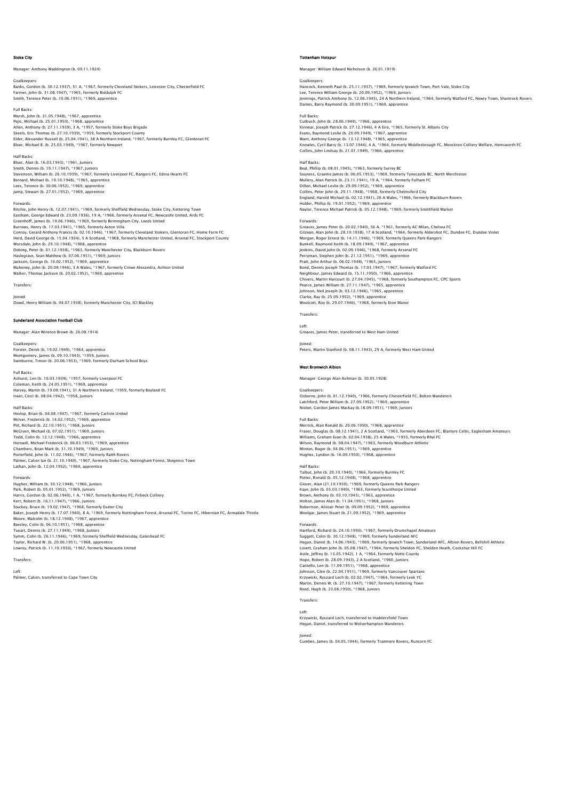### Stoke City

er: Anthony Waddington (b. 09.11.1924)

Goalkeepers: Banks, Gordon (b. 30.12.1937), 51 A, \*1967, formerly Cleveland Stokers, Leicester City, Chesterfield FC Farmer, John (b. 31.08.1947), \*1965, formerly Biddulph FC Smith, Terence Peter (b. 10.06.1951), \*1969, apprentice

Full Backs: Marsh, John (b. 31.05.1948), \*1967, apprentice Pejic, Michael (b. 25.01.1950), \*1968, apprentice<br>Allen, Anthony (b. 27.11.1939), 3 A, \*1957, formerly Stoke Boys Brigade<br>Skeels, Eric Thomas (b. 27.10.1939), \*1959, formerly Stockport County<br>Elder, Alexander Russell (b. 2 Bloor, Michael B. (b. 25.03.1949), \*1967, formerly Newport

Half Backs: Bloor, Alan (b. 16.03.1943), \*1961, Juniors Smith, Dennis (b. 19.11.1947), \*1967, Juniors Stevenson, William (b. 26.10.1939), \*1967, formerly Liverpool FC, Rangers FC, Edina Hearts FC<br>Bernard, Michael (b. 10.10.1948), \*1965, apprentice<br>Lees, Terence (b. 30.06.1952), \*1969, apprentice<br>Jump, Stewart (b. 27.01.195

### Forwards:

Ritchie, John Henry (b. 12.07.1941), \* 1969, formerly Sheffield Wednesday, Stoke City, Kettering Town<br>Eastham, George Edward (b. 23.09.1936), 19 A, \*1966, formerly Arsenal FC, Newcastle United, Ards FC<br>Greenhoff, James (b. Herd, David George (b. 15.04.1934), 5 A Scotland, \*1968, formerly Manchester United, Arsenal FC, Stockport County Worsdale, John (b. 29.10.1948), \*1968, apprentice<br>Dobing, Peter (b. 01.12.1938), \*1963, formerly Manchester City, Blackburn Rovers<br>Haslegrave, Sean Matthew (b. 07.06.1951), \*1969, Juniors<br>Jackson, George (b. 10.02.1952), \*

Transfers:

Joined: Dowd, Henry William (b. 04.07.1938), formerly Manchester City, ICI Blackley

## .<br>Tand Association Football Club

Manager: Alan Winston Brown (b. 26.08.1914)

Goalkeepers: Forster, Derek (b. 19.02.1949), \*1964, apprentice Montgomery, James (b. 09.10.1943), \*1959, Juniors Swinburne, Trevor (b. 20.06.1953), \*1969, formerly Durham School Boys

Full Backs:

Ashurst, Len (b. 10.03.1939), \*1957, formerly Liverpool FC<br>Coleman, Keith (b. 24.05.1951), \*1969, apprentice<br>Harvey, Martin (b. 19.09.1941), 31 A Northern Ireland, \*1959, formerly Boyland FC Irwin, Cecil (b. 08.04.1942), \*1958, Juniors

Half Backs:

Heslop, Brian (b. 04.08.1947), \*1967, formerly Carlisle United McIver, Frederick (b. 14.02.1952), \*1969, apprentice Pitt, Richard (b. 22.10.1951), \*1968, Juniors<br>McCiven, Michael (b. 07.02.1951), \*1969, Juniors<br>Todd, Colin (b. 12.12.1948), \*1966, apprentice<br>Horswill, Michael Frederick (b. 06.03.1953), \*1969, apprentice<br>Chambers, Brian M Palmer, Calvin Ian (b. 21.10.1940), \*1967, formerly Stoke City, Nottingham Forest, Skegness Town Lathan, John (b. 12.04.1952), \*1969, apprentice

### Forwards:

Hughes, William (b. 30.12.1948), \*1966, Juniors Park, Robert (b. 05.01.1952), \*1969, Juniors<br>Harris, Gordon (b. 02.06.1940), 1 A, \*1967, formerly Burnkey FC, Firbeck Colliery<br>Kerr, Robert (b. 16.11.1947), \*1966, Juniors<br>Stuckey, Bruce (b. 19.02.1947), \*1966, Juniors<br>Bak Beesley, Colin (b. 06.10.1951), \*1968, apprentice<br>Tueart, Dennis (b. 27.11.1949), \*1968, Juniors<br>Symm, Colin (b. 26.11.1946), \*1969, formerly Sheffield Wednesday, Gateshead FC<br>Taylor, Richard W. (b. 20.06.1951), \*1967, for

Transfers:

Left: Palmer, Calvin, transferred to Cape Town City

### Tottenham Hotspur

Manager: William Edward Nicholson (b. 26.01.1919)

Goalkeepers: Hancock, Kenneth Paul (b. 25.11.1937), \*1969, formerly Ipswich Town, Port Vale, Stoke City Lee, Terence William George (b. 20.09.1952), \*1969, Juniors<br>Jennings, Patrick Anthony (b. 12.06.1945), 24 A Northern Ireland, \*1964, formerly Watford FC, Newry Town, Shamrock Rovers<br>Daines, Barry Raymond (b. 30.09.1951), \*

# Full Backs:

Cutbush, John (b. 28.06.1949), \*1966, apprentice<br>Kinnear, Joseph Patrick (b. 27.12.1946), 4 A Eire, \*1965, formerly St. Albans City<br>Evans, Raymond Leslie (b. 20.09.1949), \*1967, apprentice<br>Want, Anthony George (b. 13.12.19 Knowles, Cyril Barry (b. 13.07.1944), 4 A, \*1964, formerly Middlesbrough FC, Monckton Colliery Welfare, Hemsworth FC<br>Collins, John Lindsay (b. 21.01.1949), \*1966, apprentice

### Half Backs:

Beal, Phillip (b. 08.01.1945), \*1963, formerly Surrey BC Souness, Graeme James (b. 06.05.1953), \*1969, formerly Tynecastle BC, North Merchiston Mullery, Alan Patrick (b. 23.11.1941), 19 A, \*1964, formerly Fulham FC<br>Dillon, Michael Leslie (b. 29.09.1952), \*1969, apprentice<br>Collins, Peter John (b. 29.11.1948), \*1968, formerly Chelmsford City<br>England, Harold Michael Holder, Phillip (b. 19.01.1952), \*1969, apprentice Naylor, Terence Michael Patrick (b. 05.12.1948), \*1969, formerly Smithfield Market

Forwards:<br>Greaves, James Peter (b. 20.02.1940), 56 A, \*1961, formerly AC Milan, Chelsea FC<br>Gilzean, Alan John (b. 28.10.1938), 17 A Scotland, \*1964, formerly Aldershot FC, Dundee FC, Dundee Violet<br>Morqan, Roqer Ernest (b. Bunkell, Raymond Keith (b. 18.09.1949), \*1967, apprentice Jenkins, David John (b. 02.09.1946), \*1968, formerly Arsenal FC<br>Perryman, Stephen John (b. 21.12.1951), \*1969, apprentice<br>Pratt, John Arthur (b. 06.02.1948), \*1965, Juniors<br>Bond, Dennis Joseph Thomas (b. 17.03.1947), \*1967 Neighbour, James Edward (b. 15.11.1950), \*1966, apprentice<br>Chivers, Martin Harcourt (b. 27.04.1945), \*1968, formerly Southampton FC, CPC Sports<br>Pearce, James William (b. 27.11.1947), \*1965, apprentice<br>Johnson, Neil Joseph Woolcott, Roy (b. 29.07.1946), \*1968, formerly Eton Manor Transfers:

Left: Greaves, James Peter, transferred to West Ham United

Joined: Peters, Martin Stanford (b. 08.11.1943), 29 A, formerly West Ham United

## West Bromwich Albion

Manager: George Alan Ashman (b. 30.05.1928)

### Goalkeepers

Osborne, John (b. 01.12.1940), \*1966, formerly Chesterfield FC, Bolton Wanderers Latchford, Peter William (b. 27.09.1952), \*1969, apprentice Nisbet, Gordon James Mackay (b.18.09.1951), \*1969, Juniors

Full Backs:<br>Merrick, Alan Ronald (b. 20.06.1950). \*1968. apprentice Merrick, Alan Ronald (b. 20.06.1950), \*1968, apprentice<br>Fraser, Douglas (b. 08.12.1941), 2 A Scotland, \*1963, formerly Aberdeen FC, Blantyre Celtic, Eaglesham Amateurs<br>Williams, Graham Evan (b. 02.04.1938), 25 A Wales, \*19

# Half Backs:

Talbut, John (b. 20.10.1940), \*1966, formerly Burnley FC<br>Potter, Ronald (b. 05.12.1948), \*1968, apprentice<br>Glover, Alan (21.10.1950), \*1969, formerly Queens Park Rangers<br>Kaye, John (b. 03.03.1940), \*1963, formerly Scunthor Brown, Anthony (b. 03.10.1945), \*1963, apprentice<br>Holton, James Alan (b. 11.04.1951), \*1968, Juniors<br>Robertson, Alistair Peter (b. 09.09.1952), \*1969, apprentice<br>Woolgar, James Stuart (b. 21.09.1952), \*1969, apprentice

Fowards:<br>Harford, Richard (b. 24.10.1950), \*1967, formerly Drumchapel Amateurs<br>Suggett, Colin (b. 30.12.1948), \*1969, formerly Sunderland AFC<br>Hegan, Daniel (b. 14.06.1943), \*1969, formerly Ipswich Town, Sunderland AFC, Alb Astle, Jeffrey (b. 13.05.1942), 1 A, "1964, formerly Notts County<br>Hope, Robert (b. 28.09.1943), 2 A Scotland, "1960, Juniors<br>Cantello, Len (b. 11.09.1951), "1968, apprentice<br>Johnson, Glen (b. 22.04.1951), "1969, formerly V

Martin, Dennis W. (b. 27.10.1947), \*1967, formerly Kettering Town Reed, Hugh (b. 23.08.1950), \*1968, Juniors

# Transfers:

Left: Krzywicki, Ryszard Lech, transferred to Huddersfield Town Hegan, Daniel, transferred to Wolverhampton Wanderers

### Joined:

Cumbes, James (b. 04.05.1944), formerly Tranmere Rovers, Runcorn FC